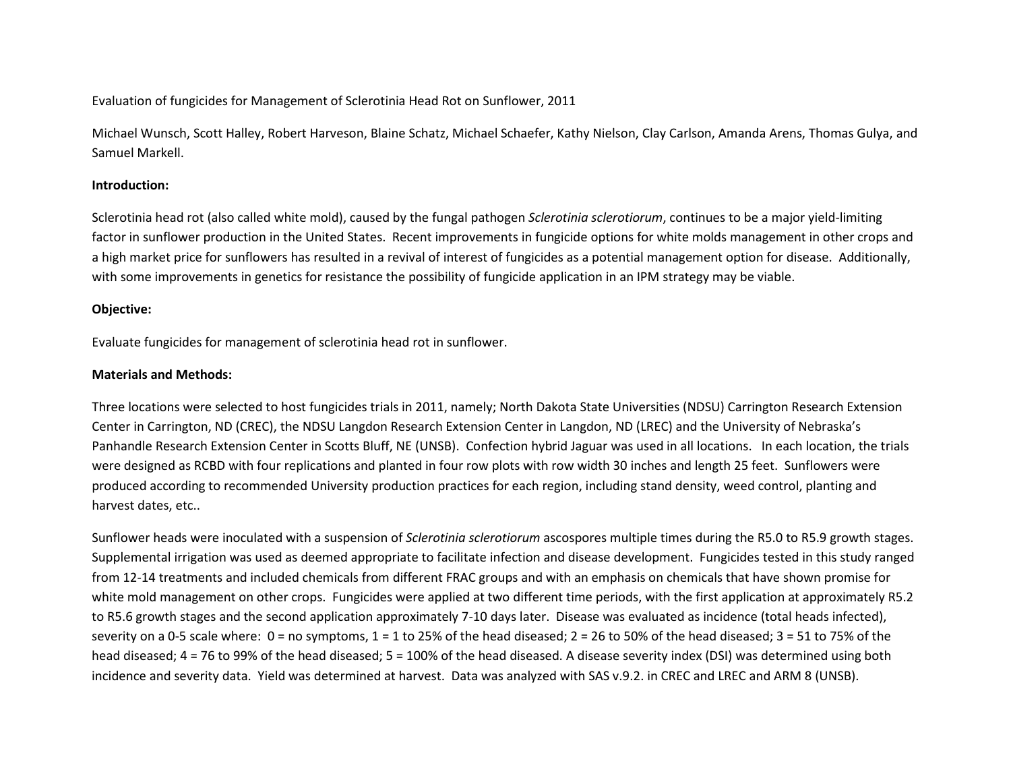Evaluation of fungicides for Management of Sclerotinia Head Rot on Sunflower, 2011

Michael Wunsch, Scott Halley, Robert Harveson, Blaine Schatz, Michael Schaefer, Kathy Nielson, Clay Carlson, Amanda Arens, Thomas Gulya, and Samuel Markell.

#### **Introduction:**

Sclerotinia head rot (also called white mold), caused by the fungal pathogen *Sclerotinia sclerotiorum*, continues to be a major yield-limiting factor in sunflower production in the United States. Recent improvements in fungicide options for white molds management in other crops and a high market price for sunflowers has resulted in a revival of interest of fungicides as a potential management option for disease. Additionally, with some improvements in genetics for resistance the possibility of fungicide application in an IPM strategy may be viable.

### **Objective:**

Evaluate fungicides for management of sclerotinia head rot in sunflower.

#### **Materials and Methods:**

Three locations were selected to host fungicides trials in 2011, namely; North Dakota State Universities (NDSU) Carrington Research Extension Center in Carrington, ND (CREC), the NDSU Langdon Research Extension Center in Langdon, ND (LREC) and the University of Nebraska's Panhandle Research Extension Center in Scotts Bluff, NE (UNSB). Confection hybrid Jaguar was used in all locations. In each location, the trials were designed as RCBD with four replications and planted in four row plots with row width 30 inches and length 25 feet. Sunflowers were produced according to recommended University production practices for each region, including stand density, weed control, planting and harvest dates, etc..

Sunflower heads were inoculated with a suspension of *Sclerotinia sclerotiorum* ascospores multiple times during the R5.0 to R5.9 growth stages. Supplemental irrigation was used as deemed appropriate to facilitate infection and disease development. Fungicides tested in this study ranged from 12-14 treatments and included chemicals from different FRAC groups and with an emphasis on chemicals that have shown promise for white mold management on other crops. Fungicides were applied at two different time periods, with the first application at approximately R5.2 to R5.6 growth stages and the second application approximately 7-10 days later. Disease was evaluated as incidence (total heads infected), severity on a 0-5 scale where:  $0 =$  no symptoms,  $1 = 1$  to 25% of the head diseased;  $2 = 26$  to 50% of the head diseased;  $3 = 51$  to 75% of the head diseased; 4 = 76 to 99% of the head diseased; 5 = 100% of the head diseased. A disease severity index (DSI) was determined using both incidence and severity data. Yield was determined at harvest. Data was analyzed with SAS v.9.2. in CREC and LREC and ARM 8 (UNSB).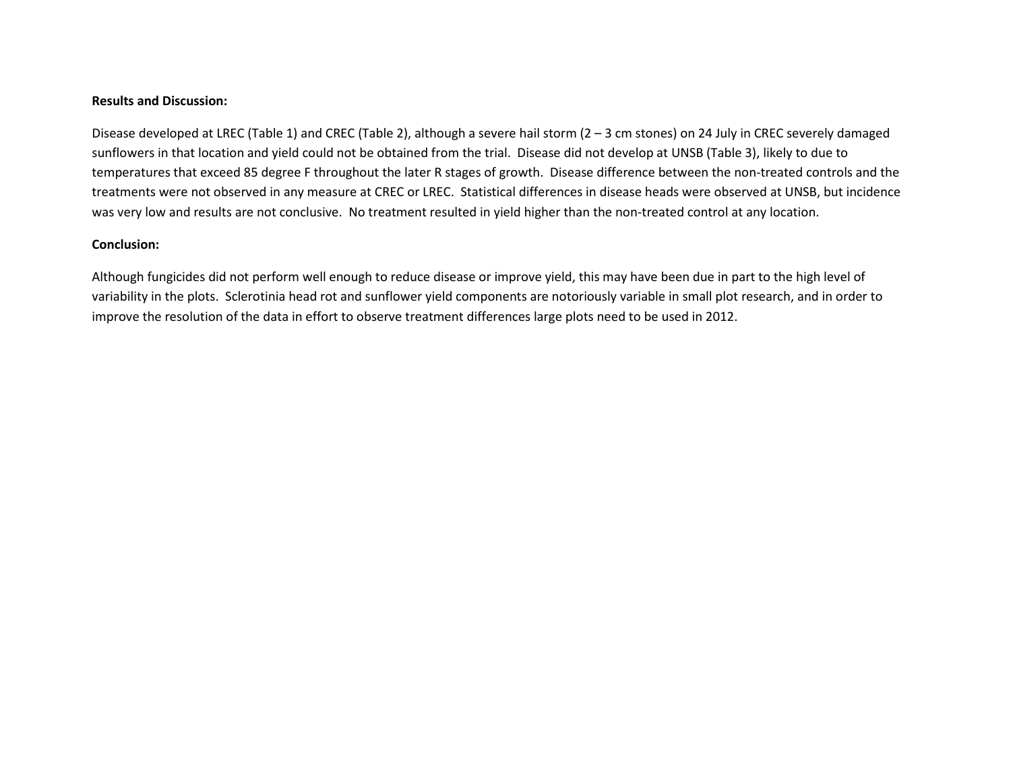#### **Results and Discussion:**

Disease developed at LREC (Table 1) and CREC (Table 2), although a severe hail storm (2 – 3 cm stones) on 24 July in CREC severely damaged sunflowers in that location and yield could not be obtained from the trial. Disease did not develop at UNSB (Table 3), likely to due to temperatures that exceed 85 degree F throughout the later R stages of growth. Disease difference between the non-treated controls and the treatments were not observed in any measure at CREC or LREC. Statistical differences in disease heads were observed at UNSB, but incidence was very low and results are not conclusive. No treatment resulted in yield higher than the non-treated control at any location.

#### **Conclusion:**

Although fungicides did not perform well enough to reduce disease or improve yield, this may have been due in part to the high level of variability in the plots. Sclerotinia head rot and sunflower yield components are notoriously variable in small plot research, and in order to improve the resolution of the data in effort to observe treatment differences large plots need to be used in 2012.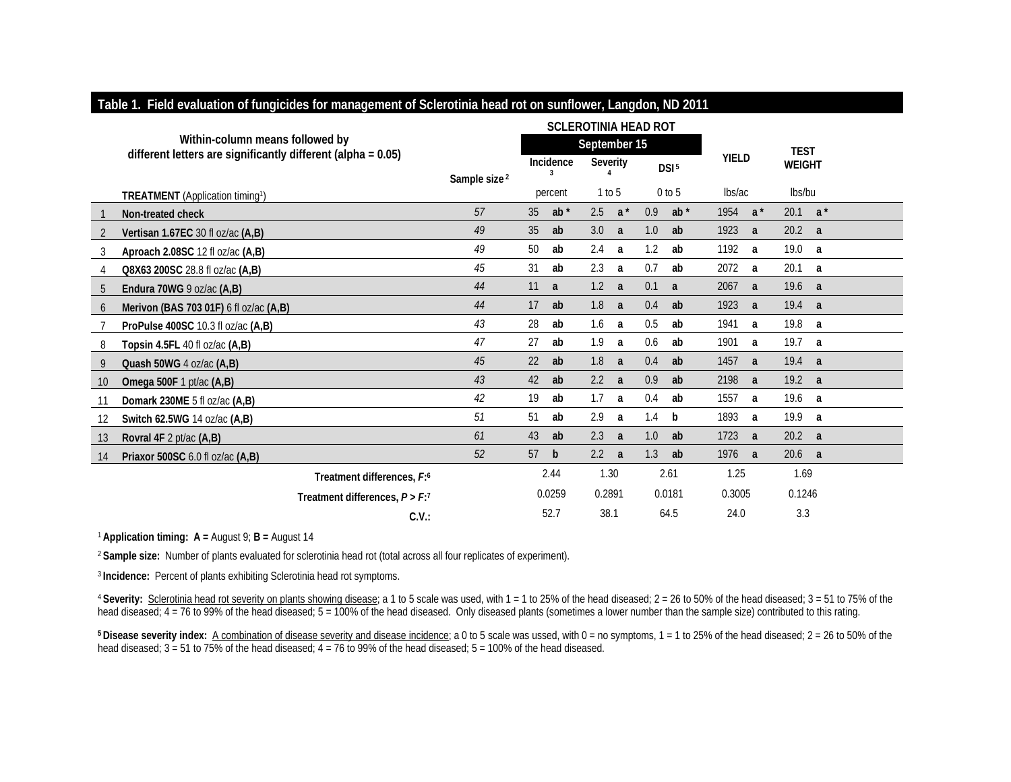|    |                                                                                                    |                          |              |              | <b>SCLEROTINIA HEAD ROT</b> |                |          |                                  |        |             |        |                |  |
|----|----------------------------------------------------------------------------------------------------|--------------------------|--------------|--------------|-----------------------------|----------------|----------|----------------------------------|--------|-------------|--------|----------------|--|
|    | Within-column means followed by<br>different letters are significantly different (alpha = $0.05$ ) |                          | September 15 |              |                             |                |          |                                  |        | <b>TEST</b> |        |                |  |
|    |                                                                                                    |                          | Incidence    |              |                             | Severity       |          | <b>YIELD</b><br>DSI <sup>5</sup> |        |             |        | <b>WEIGHT</b>  |  |
|    | <b>TREATMENT</b> (Application timing <sup>1</sup> )                                                | Sample size <sup>2</sup> |              | percent      | 1 to 5                      |                | $0$ to 5 |                                  | lbs/ac |             | lbs/bu |                |  |
|    | Non-treated check                                                                                  | 57                       | 35           | $ab^*$       | 2.5                         | $a^*$          | 0.9      | $ab^*$                           | 1954   | $a^*$       | 20.1   | $a^*$          |  |
| 2  | Vertisan 1.67EC 30 fl oz/ac (A,B)                                                                  | 49                       | 35           | ab           | 3.0                         | a              | 1.0      | ab                               | 1923   | a           | 20.2 a |                |  |
| 3  | Aproach 2.08SC 12 fl oz/ac (A,B)                                                                   | 49                       | 50           | ab           | 2.4                         | a a            | 1.2      | ab                               | 1192   | a           | 19.0 a |                |  |
| 4  | Q8X63 200SC 28.8 fl oz/ac (A,B)                                                                    | 45                       | 31           | ab           | 2.3                         | a              | 0.7      | ab                               | 2072   | a           | 20.1   | a a            |  |
| 5  | Endura 70WG 9 oz/ac (A,B)                                                                          | 44                       | 11           | a            | 1.2                         | $\overline{a}$ | 0.1      | a                                | 2067   | a           | 19.6 a |                |  |
| 6  | Merivon (BAS 703 01F) 6 fl oz/ac (A,B)                                                             | 44                       | 17           | ab           | 1.8                         | a              | 0.4      | ab                               | 1923   | a           | 19.4 a |                |  |
|    | ProPulse 400SC 10.3 fl oz/ac (A,B)                                                                 | 43                       | 28           | ab           | 1.6                         | a              | 0.5      | ab                               | 1941   | a           | 19.8   | $\overline{a}$ |  |
| 8  | Topsin 4.5FL 40 fl oz/ac $(A,B)$                                                                   | 47                       | 27           | ab           | 1.9                         | a              | 0.6      | ab                               | 1901   | a           | 19.7   | a              |  |
| 9  | Quash 50WG 4 oz/ac (A,B)                                                                           | 45                       | 22           | ab           | 1.8                         | $\overline{a}$ | 0.4      | ab                               | 1457   | a           | 19.4 a |                |  |
| 10 | Omega 500F 1 pt/ac (A,B)                                                                           | 43                       | 42           | ab           | 2.2                         | <sub>a</sub>   | 0.9      | ab                               | 2198   | a           | 19.2 a |                |  |
| 11 | Domark 230ME 5 fl oz/ac (A,B)                                                                      | 42                       | 19           | ab           | 1.7                         | a              | 0.4      | ab                               | 1557   | a           | 19.6 a |                |  |
| 12 | Switch 62.5WG 14 oz/ac (A,B)                                                                       | 51                       | 51           | ab           | 2.9                         | a              | 1.4      | b                                | 1893   | a           | 19.9 a |                |  |
| 13 | Rovral 4F 2 pt/ac (A,B)                                                                            | 61                       | 43           | ab           | 2.3                         | a              | 1.0      | ab                               | 1723   | a           | 20.2 a |                |  |
| 14 | Priaxor 500SC 6.0 fl oz/ac (A.B)                                                                   | 52                       | 57           | $\mathsf{b}$ | 2.2                         | $\overline{a}$ | 1.3      | ab                               | 1976   | a           | 20.6 a |                |  |
|    | Treatment differences. F: <sup>6</sup>                                                             |                          | 2.44         |              | 1.30                        |                | 2.61     |                                  | 1.25   |             | 1.69   |                |  |
|    | Treatment differences, $P > F$ : <sup>7</sup>                                                      |                          |              | 0.0259       | 0.2891                      |                |          | 0.0181                           | 0.3005 |             | 0.1246 |                |  |
|    | C.V.                                                                                               |                          |              | 52.7         | 38.1                        |                |          | 64.5                             | 24.0   |             | 3.3    |                |  |

## **Table 1. Field evaluation of fungicides for management of Sclerotinia head rot on sunflower, Langdon, ND 2011**

<sup>1</sup>**Application timing: A =** August 9; **B =** August 14

<sup>2</sup>**Sample size:** Number of plants evaluated for sclerotinia head rot (total across all four replicates of experiment).

<sup>3</sup>**Incidence:** Percent of plants exhibiting Sclerotinia head rot symptoms.

<sup>4</sup>**Severity:** Sclerotinia head rot severity on plants showing disease; a 1 to 5 scale was used, with 1 = 1 to 25% of the head diseased; 2 = 26 to 50% of the head diseased; 3 = 51 to 75% of the head diseased;  $4 = 76$  to 99% of the head diseased;  $5 = 100\%$  of the head diseased. Only diseased plants (sometimes a lower number than the sample size) contributed to this rating.

**5 Disease severity index:** A combination of disease severity and disease incidence; a 0 to 5 scale was ussed, with 0 = no symptoms, 1 = 1 to 25% of the head diseased; 2 = 26 to 50% of the head diseased; 3 = 51 to 75% of the head diseased; 4 = 76 to 99% of the head diseased; 5 = 100% of the head diseased.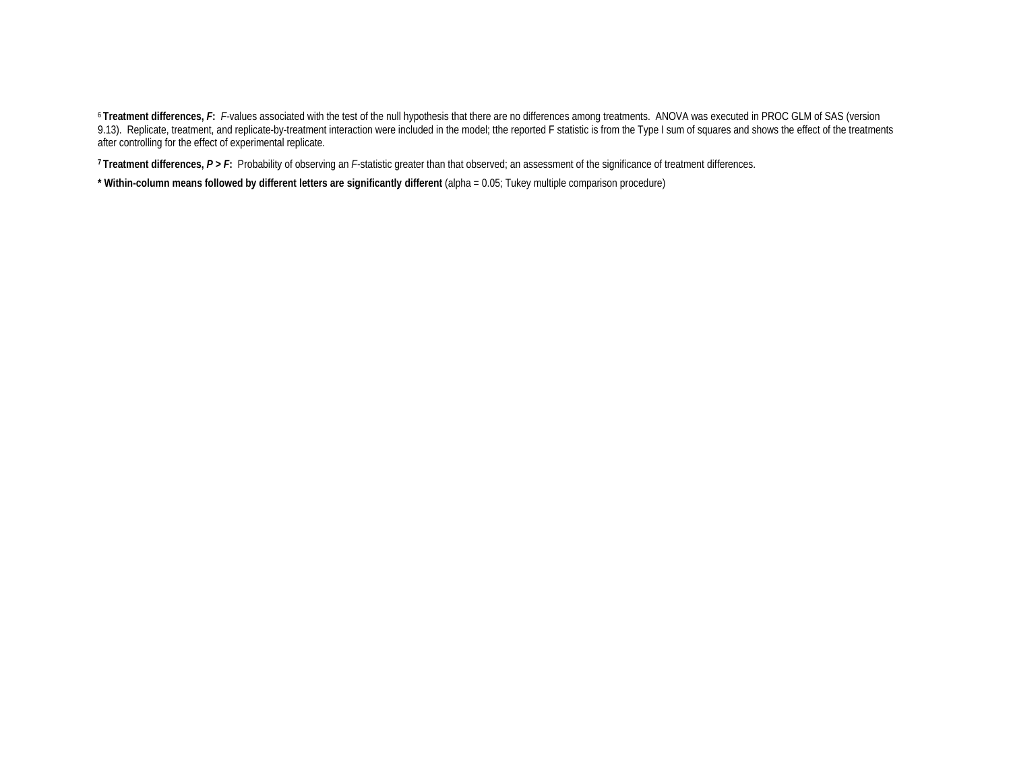<sup>6</sup> Treatment differences, F: F-values associated with the test of the null hypothesis that there are no differences among treatments. ANOVA was executed in PROC GLM of SAS (version 9.13). Replicate, treatment, and replicate-by-treatment interaction were included in the model; tthe reported F statistic is from the Type I sum of squares and shows the effect of the treatments after controlling for the effect of experimental replicate.

**7 Treatment differences,** *P* **>** *F***:** Probability of observing an *F*-statistic greater than that observed; an assessment of the significance of treatment differences.

**\* Within-column means followed by different letters are significantly different** (alpha = 0.05; Tukey multiple comparison procedure)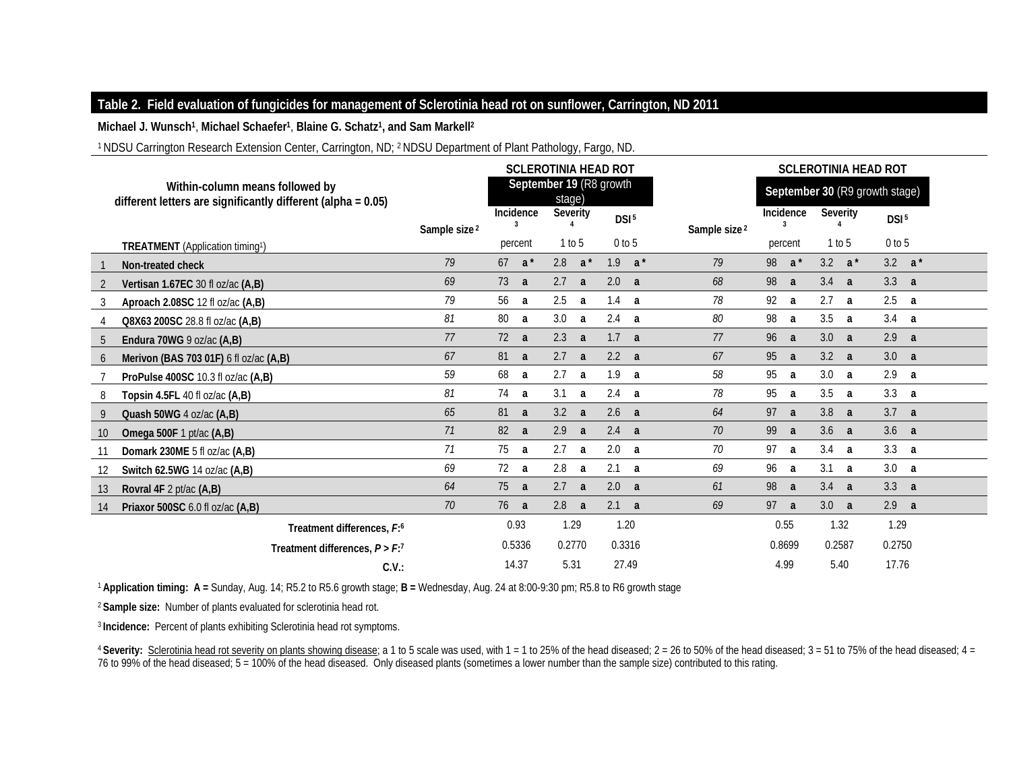## **Table 2. Field evaluation of fungicides for management of Sclerotinia head rot on sunflower, Carrington, ND 2011**

**Michael J. Wunsch1**, **Michael Schaefer1**, **Blaine G. Schatz1, and Sam Markell2**

1 NDSU Carrington Research Extension Center, Carrington, ND; 2 NDSU Department of Plant Pathology, Fargo, ND.

<sup>1</sup>**Application timing: A =** Sunday, Aug. 14; R5.2 to R5.6 growth stage; **B =** Wednesday, Aug. 24 at 8:00-9:30 pm; R5.8 to R6 growth stage

<sup>2</sup>**Sample size:** Number of plants evaluated for sclerotinia head rot.

<sup>3</sup>**Incidence:** Percent of plants exhibiting Sclerotinia head rot symptoms.

<sup>4</sup> Severity: Sclerotinia head rot severity on plants showing disease; a 1 to 5 scale was used, with 1 = 1 to 25% of the head diseased; 2 = 26 to 50% of the head diseased; 3 = 51 to 75% of the head diseased; 4 = 76 to 99% of the head diseased; 5 = 100% of the head diseased. Only diseased plants (sometimes a lower number than the sample size) contributed to this rating.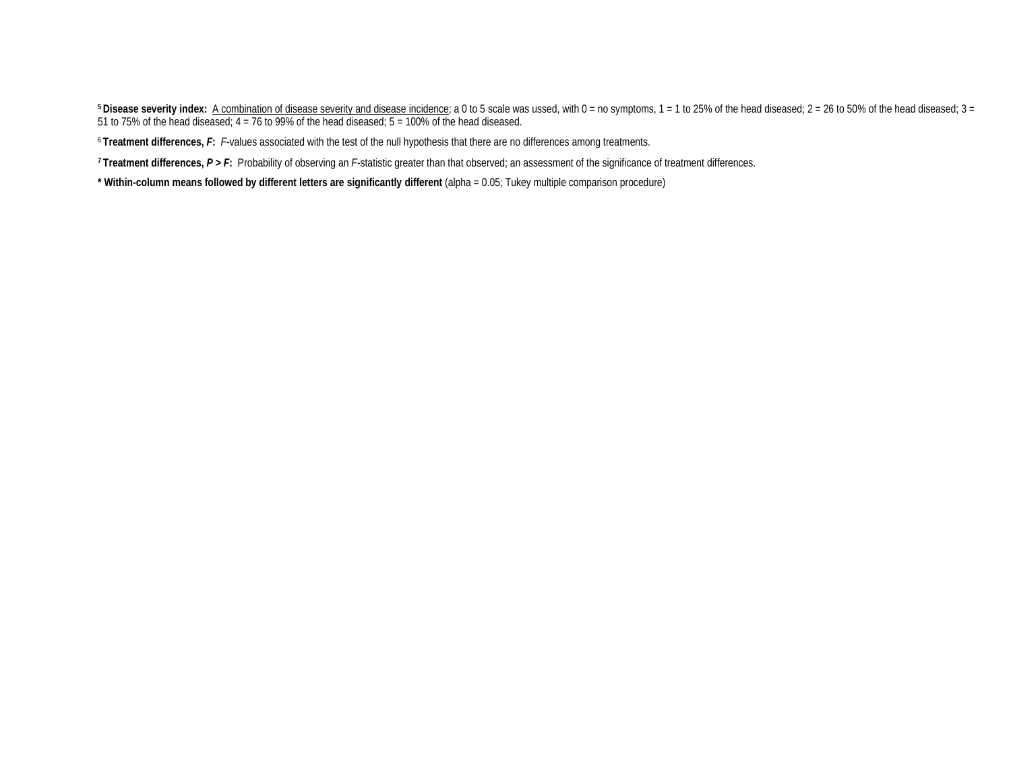<sup>5</sup> Disease severity index: A combination of disease severity and disease incidence; a 0 to 5 scale was ussed, with 0 = no symptoms, 1 = 1 to 25% of the head diseased; 2 = 26 to 50% of the head diseased; 3 = 51 to 75% of the head diseased; 4 = 76 to 99% of the head diseased; 5 = 100% of the head diseased.

<sup>6</sup>**Treatment differences,** *F***:** *F-*values associated with the test of the null hypothesis that there are no differences among treatments.

**7 Treatment differences,** *P* **>** *F***:** Probability of observing an *F*-statistic greater than that observed; an assessment of the significance of treatment differences.

**\* Within-column means followed by different letters are significantly different** (alpha = 0.05; Tukey multiple comparison procedure)